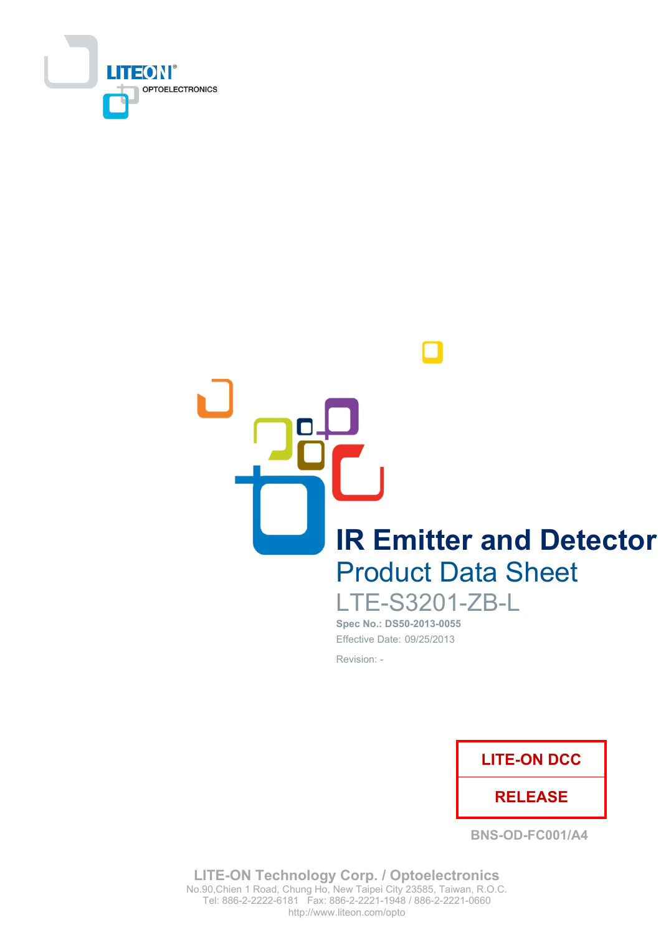

**IR Emitter and Detector Product Data Sheet** 

**LTE-S3201-ZB-L** Spec No.: DS50-2013-0055

Effective Date: 09/25/2013 Revision: -



**BNS-OD-FC001/A4** 

**LITE-ON Technology Corp. / Optoelectronics** No.90, Chien 1 Road, Chung Ho, New Taipei City 23585, Taiwan, R.O.C. Tel: 886-2-2222-6181 Fax: 886-2-2221-1948 / 886-2-2221-0660 http://www.liteon.com/opto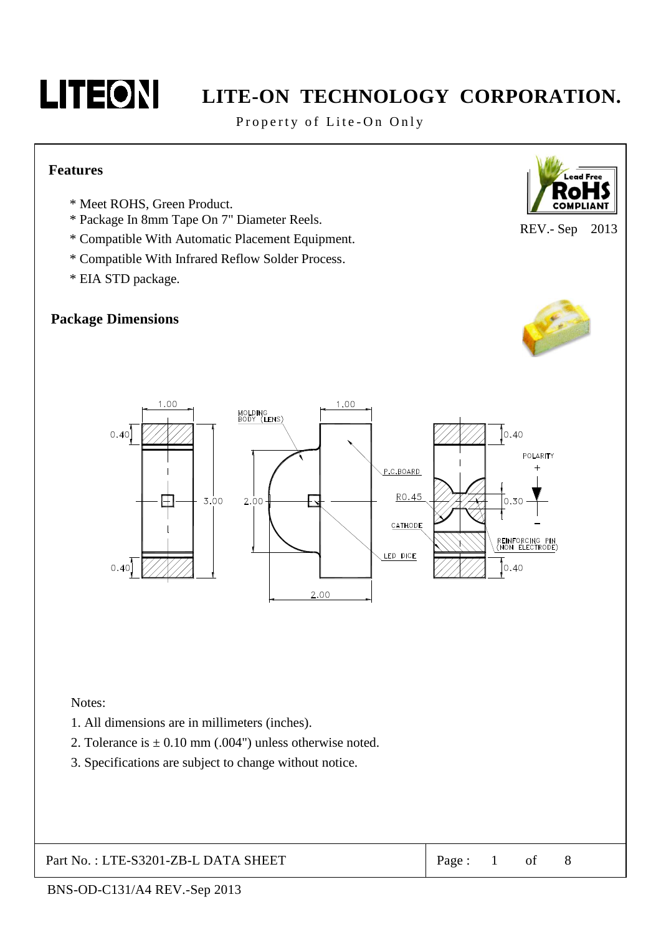

Property of Lite-On Only

### **Features**

- \* Meet ROHS, Green Product.
- \* Package In 8mm Tape On 7" Diameter Reels.
- \* Compatible With Automatic Placement Equipment.
- \* Compatible With Infrared Reflow Solder Process.
- \* EIA STD package.

### **Package Dimensions**



REV.- Sep 2013





Notes:

- 1. All dimensions are in millimeters (inches).
- 2. Tolerance is  $\pm$  0.10 mm (.004") unless otherwise noted.
- 3. Specifications are subject to change without notice.

Part No.: LTE-S3201-ZB-L DATA SHEET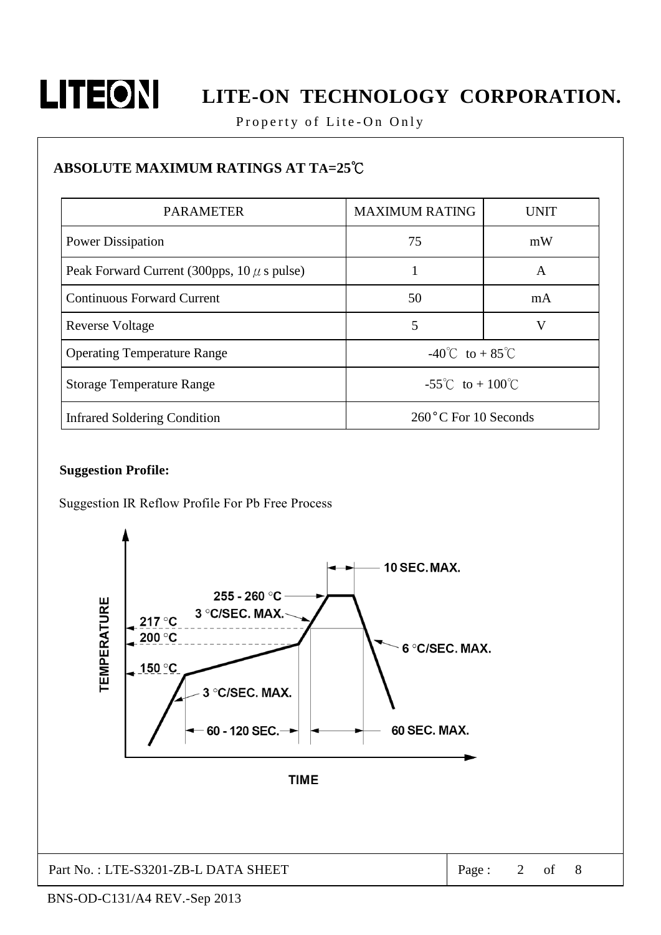

Property of Lite-On Only

### ABSOLUTE MAXIMUM RATINGS AT TA=25°C

| <b>PARAMETER</b>                                | <b>MAXIMUM RATING</b>                  | <b>UNIT</b> |  |
|-------------------------------------------------|----------------------------------------|-------------|--|
| <b>Power Dissipation</b>                        | 75                                     | mW          |  |
| Peak Forward Current (300pps, $10 \mu$ s pulse) |                                        | A           |  |
| <b>Continuous Forward Current</b>               | 50                                     | mA          |  |
| <b>Reverse Voltage</b>                          | 5                                      | V           |  |
| <b>Operating Temperature Range</b>              | $-40^{\circ}$ C to + 85 <sup>°</sup> C |             |  |
| <b>Storage Temperature Range</b>                | $-55^{\circ}$ C to $+100^{\circ}$ C    |             |  |
| Infrared Soldering Condition                    | 260°C For 10 Seconds                   |             |  |

### **Suggestion Profile:**

Suggestion IR Reflow Profile For Pb Free Process

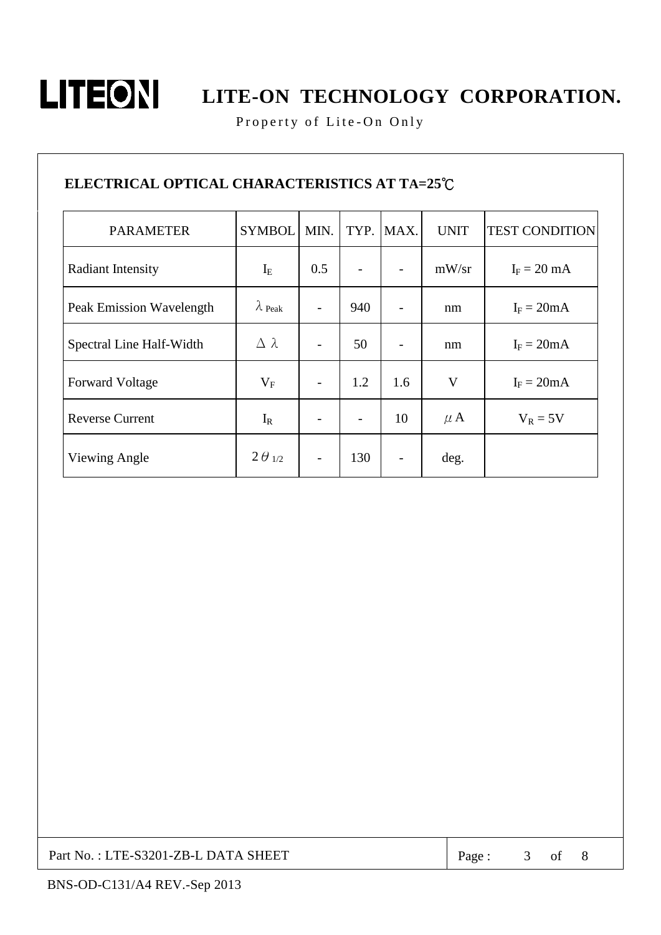

Property of Lite-On Only

### ELECTRICAL OPTICAL CHARACTERISTICS AT TA=25°C

| <b>PARAMETER</b>         | <b>SYMBOL</b>    | MIN. | TYP. | MAX.                     | <b>UNIT</b>  | <b>TEST CONDITION</b> |
|--------------------------|------------------|------|------|--------------------------|--------------|-----------------------|
| <b>Radiant Intensity</b> | $I_{E}$          | 0.5  |      |                          | mW/sr        | $I_F = 20$ mA         |
| Peak Emission Wavelength | $\lambda$ Peak   |      | 940  | -                        | nm           | $I_F = 20mA$          |
| Spectral Line Half-Width | $\Delta \lambda$ |      | 50   |                          | nm           | $I_F = 20mA$          |
| <b>Forward Voltage</b>   | $V_{F}$          |      | 1.2  | 1.6                      | $\mathbf{V}$ | $I_F = 20mA$          |
| <b>Reverse Current</b>   | $I_R$            |      |      | 10                       | $\mu$ A      | $V_R = 5V$            |
| Viewing Angle            | $2\theta_{1/2}$  |      | 130  | $\overline{\phantom{0}}$ | deg.         |                       |

Part No.: LTE-S3201-ZB-L DATA SHEET

Page:  $3$  of

 $\, 8$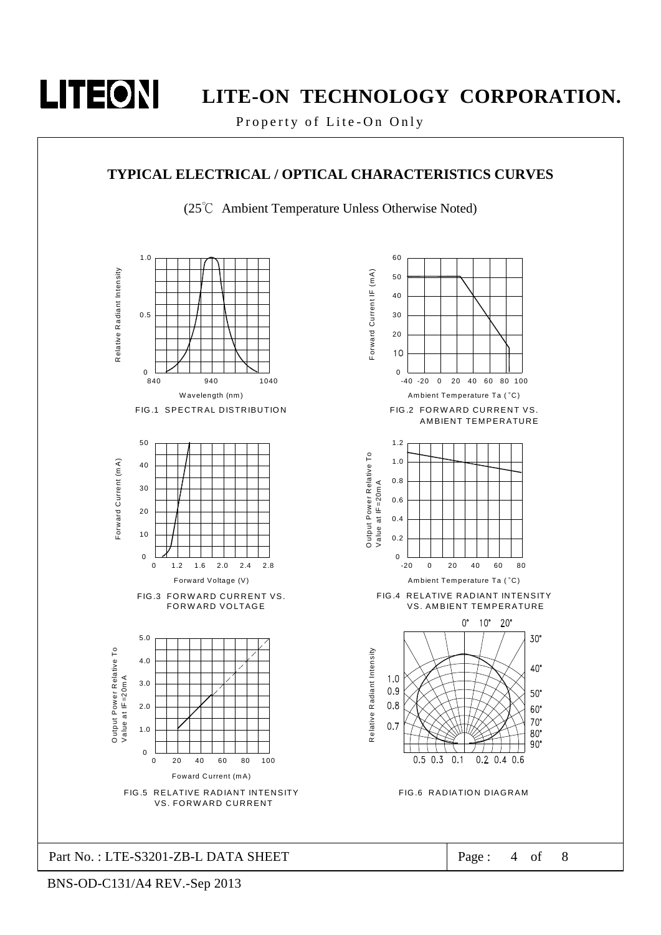

Property of Lite-On Only

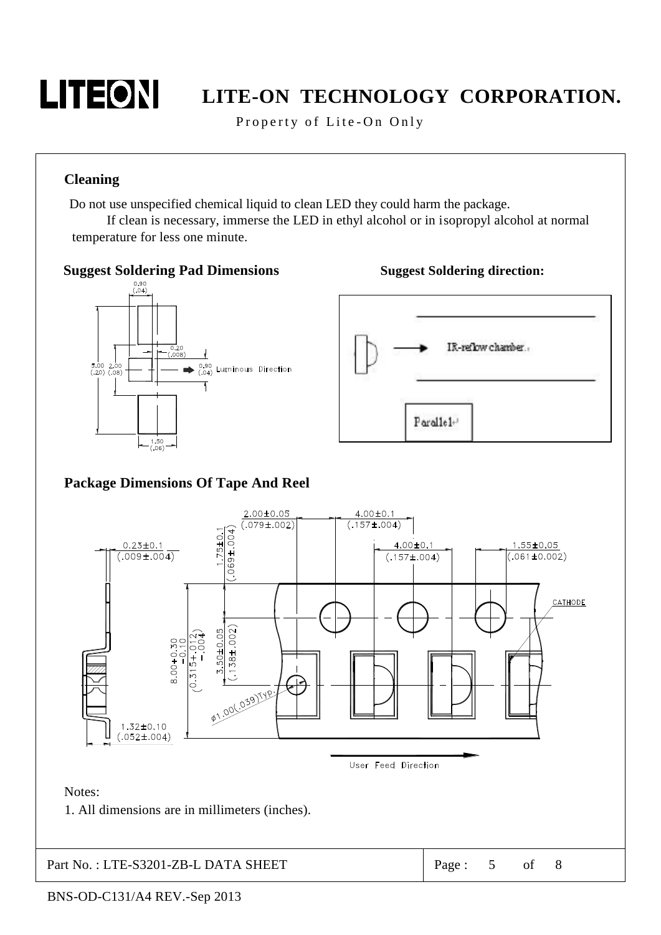

Property of Lite-On Only

### **Cleaning**

Do not use unspecified chemical liquid to clean LED they could harm the package.

If clean is necessary, immerse the LED in ethyl alcohol or in isopropyl alcohol at normal temperature for less one minute.



Part No.: LTE-S3201-ZB-L DATA SHEET

8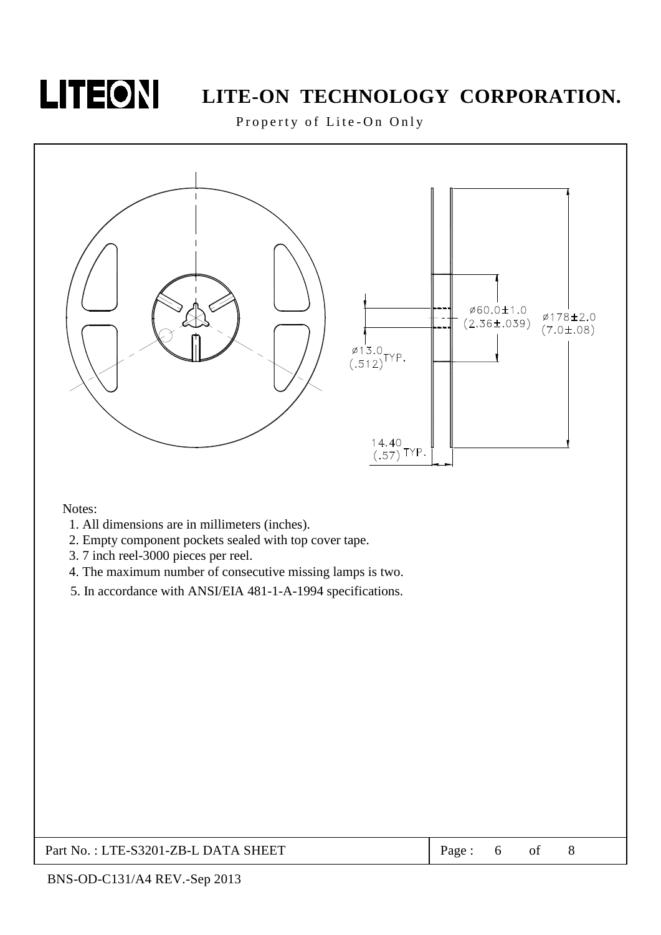

Property of Lite-On Only



Notes:

- 1. All dimensions are in millimeters (inches).
- 2. Empty component pockets sealed with top cover tape.
- 3.7 inch reel-3000 pieces per reel.
- 4. The maximum number of consecutive missing lamps is two.
- 5. In accordance with ANSI/EIA 481-1-A-1994 specifications.

| Part No.: LTE-S3201-ZB-L DATA SHEET | Page: |  |  |  |
|-------------------------------------|-------|--|--|--|
|-------------------------------------|-------|--|--|--|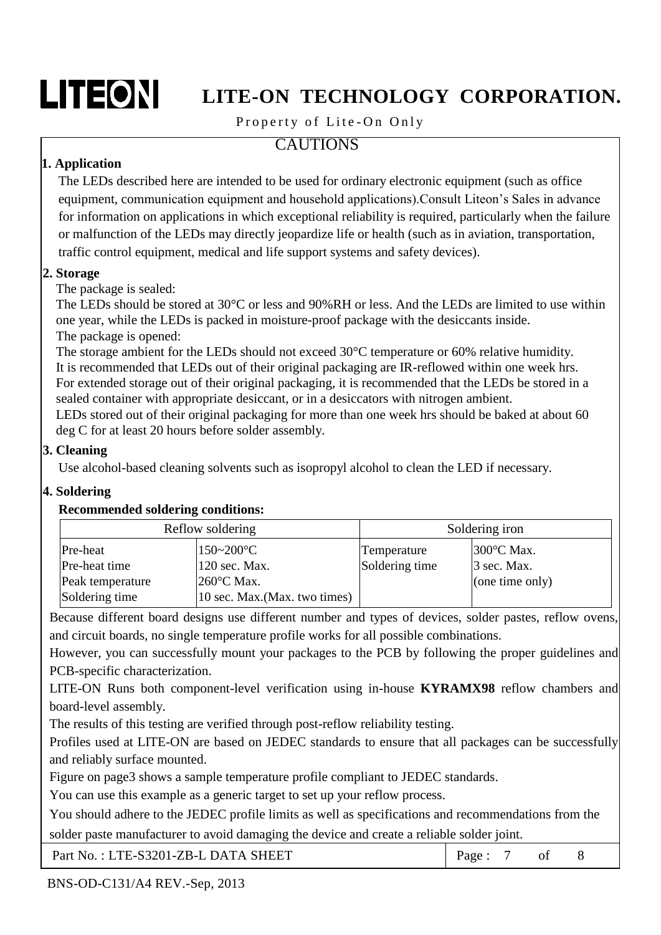# LITEON

# LITE-ON TECHNOLOGY CORPORATION.

### Property of Lite-On Only

### **CAUTIONS**

### 1. Application

The LEDs described here are intended to be used for ordinary electronic equipment (such as office equipment, communication equipment and household applications). Consult Liteon's Sales in advance for information on applications in which exceptional reliability is required, particularly when the failure or malfunction of the LEDs may directly jeopardize life or health (such as in aviation, transportation, traffic control equipment, medical and life support systems and safety devices).

### 2. Storage

The package is sealed:

The LEDs should be stored at 30 °C or less and 90%RH or less. And the LEDs are limited to use within one year, while the LEDs is packed in moisture-proof package with the desiccants inside. The package is opened:

The storage ambient for the LEDs should not exceed  $30^{\circ}$ C temperature or 60% relative humidity. It is recommended that LEDs out of their original packaging are IR-reflowed within one week hrs. For extended storage out of their original packaging, it is recommended that the LEDs be stored in a sealed container with appropriate desiccant, or in a desiccators with nitrogen ambient.

LEDs stored out of their original packaging for more than one week hrs should be baked at about 60 deg C for at least 20 hours before solder assembly.

### 3. Cleaning

Use alcohol-based cleaning solvents such as isopropyl alcohol to clean the LED if necessary.

### 4. Soldering

### **Recommended soldering conditions:**

| Reflow soldering |                               | Soldering iron |                   |  |
|------------------|-------------------------------|----------------|-------------------|--|
| Pre-heat         | $150 - 200$ °C                | Temperature    | 300°C Max.        |  |
| Pre-heat time    | 120 sec. Max.                 | Soldering time | $\beta$ sec. Max. |  |
| Peak temperature | $260^{\circ}$ C Max.          |                | (one time only)   |  |
| Soldering time   | 10 sec. Max. (Max. two times) |                |                   |  |

Because different board designs use different number and types of devices, solder pastes, reflow ovens, and circuit boards, no single temperature profile works for all possible combinations.

However, you can successfully mount your packages to the PCB by following the proper guidelines and PCB-specific characterization.

LITE-ON Runs both component-level verification using in-house **KYRAMX98** reflow chambers and board-level assembly.

The results of this testing are verified through post-reflow reliability testing.

Profiles used at LITE-ON are based on JEDEC standards to ensure that all packages can be successfully and reliably surface mounted.

Figure on page3 shows a sample temperature profile compliant to JEDEC standards.

You can use this example as a generic target to set up your reflow process.

You should adhere to the JEDEC profile limits as well as specifications and recommendations from the

solder paste manufacturer to avoid damaging the device and create a reliable solder joint.

| Part No.: LTE-S3201-ZB-L DATA SHEET | Page: |  |  |  |
|-------------------------------------|-------|--|--|--|
|-------------------------------------|-------|--|--|--|